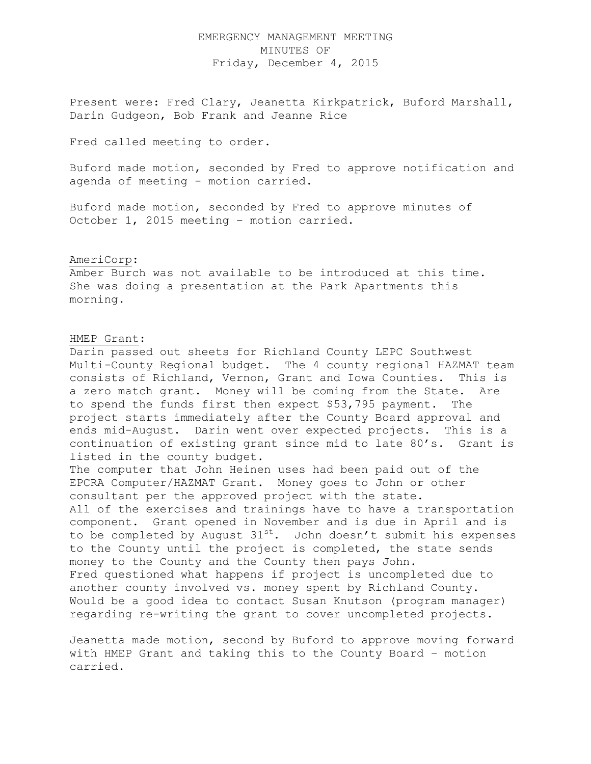## EMERGENCY MANAGEMENT MEETING MINUTES OF Friday, December 4, 2015

Present were: Fred Clary, Jeanetta Kirkpatrick, Buford Marshall, Darin Gudgeon, Bob Frank and Jeanne Rice

Fred called meeting to order.

Buford made motion, seconded by Fred to approve notification and agenda of meeting - motion carried.

Buford made motion, seconded by Fred to approve minutes of October 1, 2015 meeting – motion carried.

## AmeriCorp:

Amber Burch was not available to be introduced at this time. She was doing a presentation at the Park Apartments this morning.

## HMEP Grant:

Darin passed out sheets for Richland County LEPC Southwest Multi-County Regional budget. The 4 county regional HAZMAT team consists of Richland, Vernon, Grant and Iowa Counties. This is a zero match grant. Money will be coming from the State. Are to spend the funds first then expect \$53,795 payment. The project starts immediately after the County Board approval and ends mid-August. Darin went over expected projects. This is a continuation of existing grant since mid to late 80's. Grant is listed in the county budget.

The computer that John Heinen uses had been paid out of the EPCRA Computer/HAZMAT Grant. Money goes to John or other consultant per the approved project with the state. All of the exercises and trainings have to have a transportation component. Grant opened in November and is due in April and is to be completed by August 31<sup>st</sup>. John doesn't submit his expenses to the County until the project is completed, the state sends money to the County and the County then pays John. Fred questioned what happens if project is uncompleted due to another county involved vs. money spent by Richland County. Would be a good idea to contact Susan Knutson (program manager) regarding re-writing the grant to cover uncompleted projects.

Jeanetta made motion, second by Buford to approve moving forward with HMEP Grant and taking this to the County Board – motion carried.